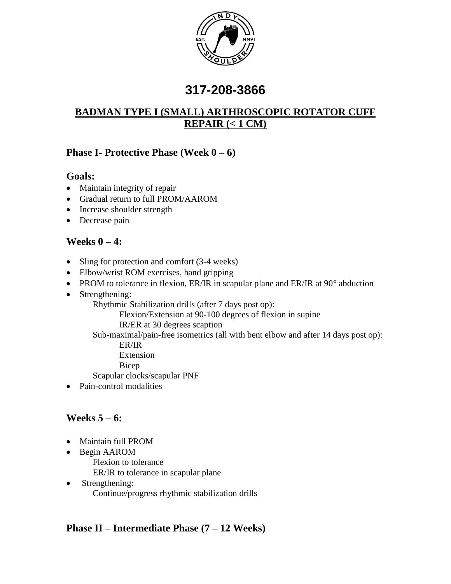

# **317-208-3866**

# **BADMAN TYPE I (SMALL) ARTHROSCOPIC ROTATOR CUFF REPAIR (< 1 CM)**

## **Phase I- Protective Phase (Week 0 – 6)**

#### **Goals:**

- Maintain integrity of repair
- Gradual return to full PROM/AAROM
- Increase shoulder strength
- Decrease pain

## **Weeks 0 – 4:**

- Sling for protection and comfort (3-4 weeks)
- Elbow/wrist ROM exercises, hand gripping
- PROM to tolerance in flexion, ER/IR in scapular plane and ER/IR at  $90^\circ$  abduction
- Strengthening:
	- Rhythmic Stabilization drills (after 7 days post op):

Flexion/Extension at 90-100 degrees of flexion in supine

IR/ER at 30 degrees scaption

Sub-maximal/pain-free isometrics (all with bent elbow and after 14 days post op): ER/IR

- Extension
- Bicep

Scapular clocks/scapular PNF

• Pain-control modalities

# **Weeks 5 – 6:**

- Maintain full PROM
- Begin AAROM
	- Flexion to tolerance

ER/IR to tolerance in scapular plane

• Strengthening: Continue/progress rhythmic stabilization drills

# **Phase II – Intermediate Phase (7 – 12 Weeks)**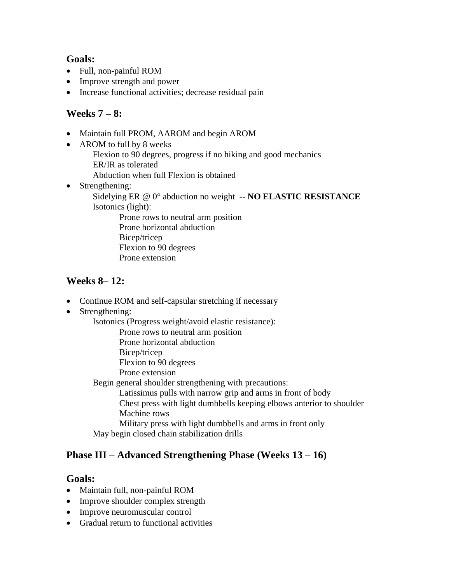#### **Goals:**

- Full, non-painful ROM
- Improve strength and power
- Increase functional activities; decrease residual pain

#### **Weeks 7 – 8:**

- Maintain full PROM, AAROM and begin AROM
- AROM to full by 8 weeks
	- Flexion to 90 degrees, progress if no hiking and good mechanics ER/IR as tolerated
	- Abduction when full Flexion is obtained
- Strengthening:
	- Sidelying ER @ 0° abduction no weight -- **NO ELASTIC RESISTANCE** Isotonics (light):

Prone rows to neutral arm position Prone horizontal abduction Bicep/tricep Flexion to 90 degrees Prone extension

## **Weeks 8– 12:**

- Continue ROM and self-capsular stretching if necessary
- Strengthening:

Isotonics (Progress weight/avoid elastic resistance):

- Prone rows to neutral arm position
- Prone horizontal abduction
- Bicep/tricep
- Flexion to 90 degrees
- Prone extension

Begin general shoulder strengthening with precautions:

Latissimus pulls with narrow grip and arms in front of body

Chest press with light dumbbells keeping elbows anterior to shoulder Machine rows

Military press with light dumbbells and arms in front only May begin closed chain stabilization drills

## **Phase III – Advanced Strengthening Phase (Weeks 13 – 16)**

#### **Goals:**

- Maintain full, non-painful ROM
- Improve shoulder complex strength
- Improve neuromuscular control
- Gradual return to functional activities